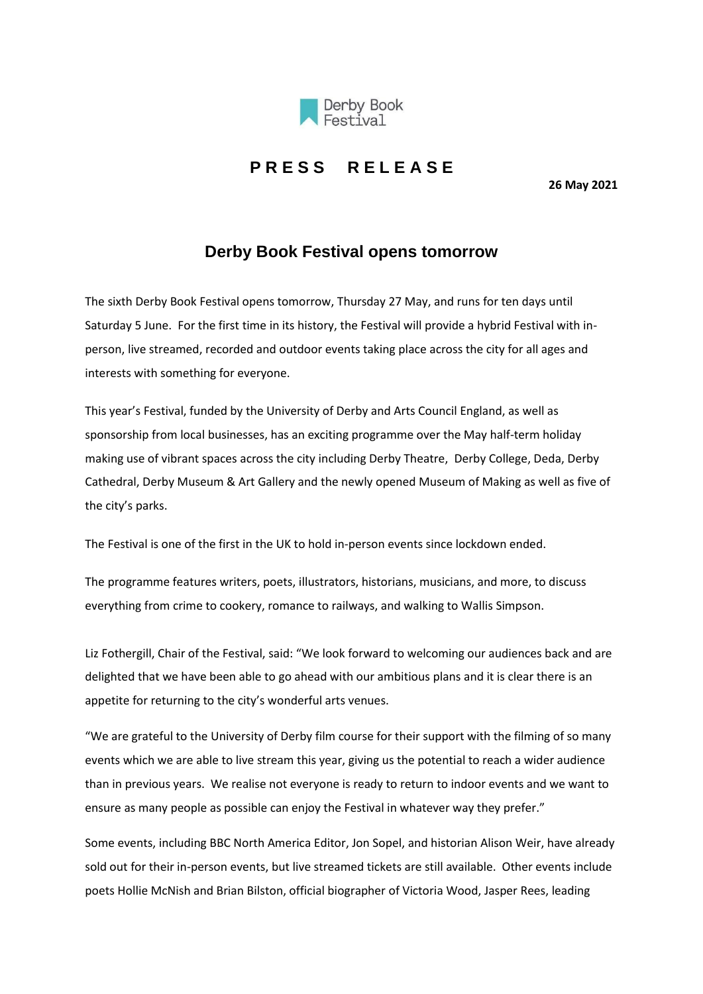

## **P R E S S R E L E A S E**

**26 May 2021**

## **Derby Book Festival opens tomorrow**

The sixth Derby Book Festival opens tomorrow, Thursday 27 May, and runs for ten days until Saturday 5 June. For the first time in its history, the Festival will provide a hybrid Festival with inperson, live streamed, recorded and outdoor events taking place across the city for all ages and interests with something for everyone.

This year's Festival, funded by the University of Derby and Arts Council England, as well as sponsorship from local businesses, has an exciting programme over the May half-term holiday making use of vibrant spaces across the city including Derby Theatre, Derby College, Deda, Derby Cathedral, Derby Museum & Art Gallery and the newly opened Museum of Making as well as five of the city's parks.

The Festival is one of the first in the UK to hold in-person events since lockdown ended.

The programme features writers, poets, illustrators, historians, musicians, and more, to discuss everything from crime to cookery, romance to railways, and walking to Wallis Simpson.

Liz Fothergill, Chair of the Festival, said: "We look forward to welcoming our audiences back and are delighted that we have been able to go ahead with our ambitious plans and it is clear there is an appetite for returning to the city's wonderful arts venues.

"We are grateful to the University of Derby film course for their support with the filming of so many events which we are able to live stream this year, giving us the potential to reach a wider audience than in previous years. We realise not everyone is ready to return to indoor events and we want to ensure as many people as possible can enjoy the Festival in whatever way they prefer."

Some events, including BBC North America Editor, Jon Sopel, and historian Alison Weir, have already sold out for their in-person events, but live streamed tickets are still available. Other events include poets Hollie McNish and Brian Bilston, official biographer of Victoria Wood, Jasper Rees, leading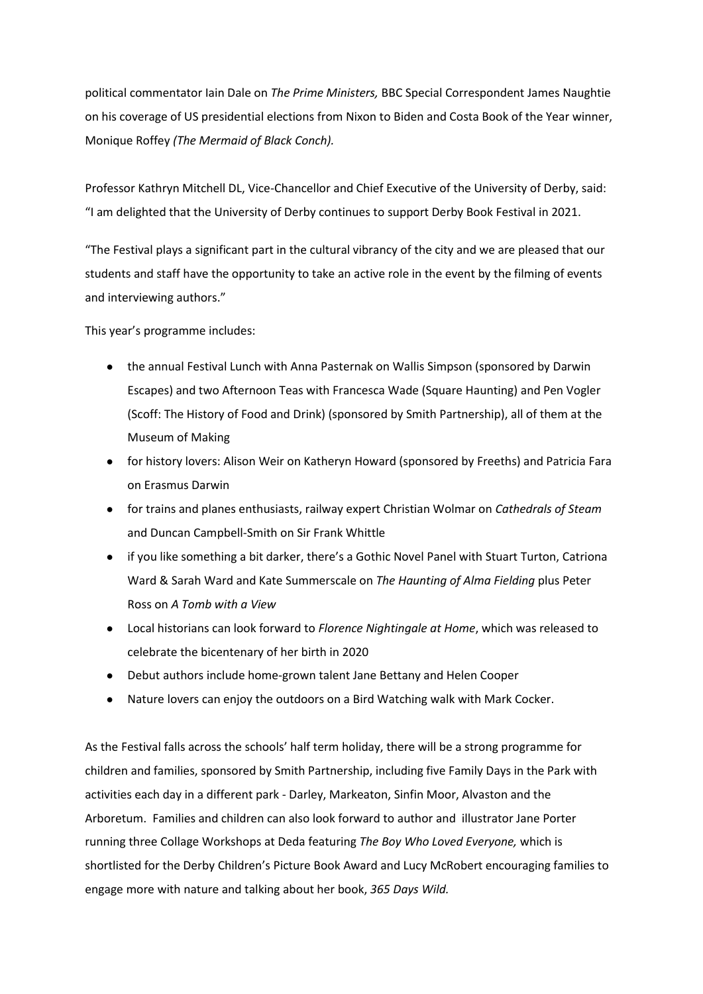political commentator Iain Dale on *The Prime Ministers,* BBC Special Correspondent James Naughtie on his coverage of US presidential elections from Nixon to Biden and Costa Book of the Year winner, Monique Roffey *(The Mermaid of Black Conch).*

Professor Kathryn Mitchell DL, Vice-Chancellor and Chief Executive of the University of Derby, said: "I am delighted that the University of Derby continues to support Derby Book Festival in 2021.

"The Festival plays a significant part in the cultural vibrancy of the city and we are pleased that our students and staff have the opportunity to take an active role in the event by the filming of events and interviewing authors."

This year's programme includes:

- the annual Festival Lunch with Anna Pasternak on Wallis Simpson (sponsored by Darwin Escapes) and two Afternoon Teas with Francesca Wade (Square Haunting) and Pen Vogler (Scoff: The History of Food and Drink) (sponsored by Smith Partnership), all of them at the Museum of Making
- for history lovers: Alison Weir on Katheryn Howard (sponsored by Freeths) and Patricia Fara on Erasmus Darwin
- for trains and planes enthusiasts, railway expert Christian Wolmar on *Cathedrals of Steam* and Duncan Campbell-Smith on Sir Frank Whittle
- if you like something a bit darker, there's a Gothic Novel Panel with Stuart Turton, Catriona Ward & Sarah Ward and Kate Summerscale on *The Haunting of Alma Fielding* plus Peter Ross on *A Tomb with a View*
- Local historians can look forward to *Florence Nightingale at Home*, which was released to celebrate the bicentenary of her birth in 2020
- Debut authors include home-grown talent Jane Bettany and Helen Cooper
- Nature lovers can enjoy the outdoors on a Bird Watching walk with Mark Cocker.

As the Festival falls across the schools' half term holiday, there will be a strong programme for children and families, sponsored by Smith Partnership, including five Family Days in the Park with activities each day in a different park - Darley, Markeaton, Sinfin Moor, Alvaston and the Arboretum. Families and children can also look forward to author and illustrator Jane Porter running three Collage Workshops at Deda featuring *The Boy Who Loved Everyone,* which is shortlisted for the Derby Children's Picture Book Award and Lucy McRobert encouraging families to engage more with nature and talking about her book, *365 Days Wild.*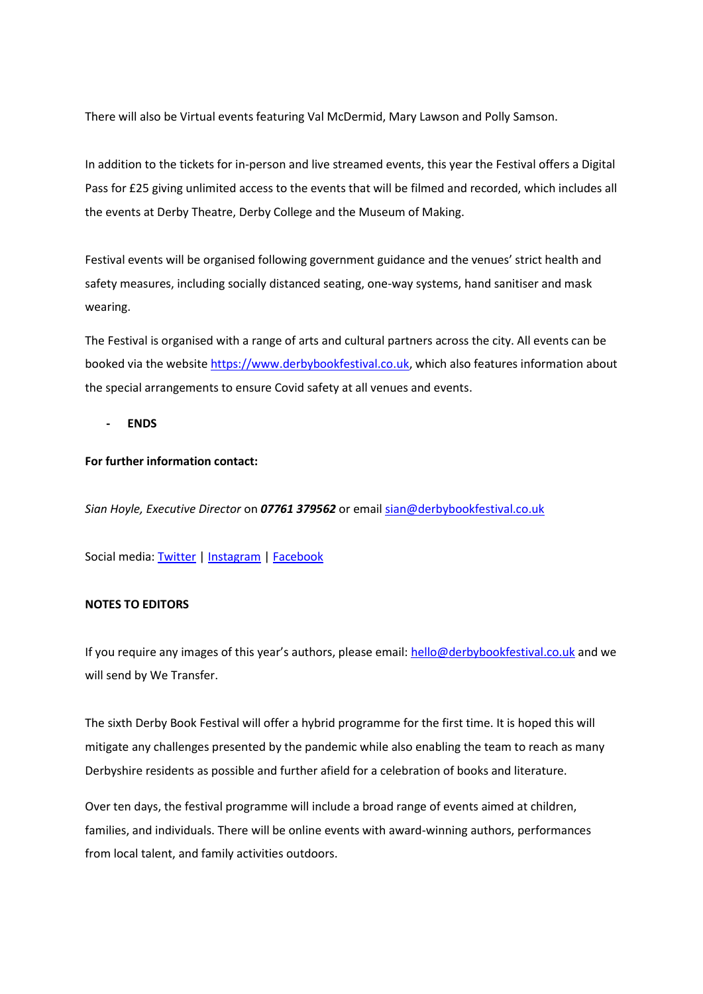There will also be Virtual events featuring Val McDermid, Mary Lawson and Polly Samson.

In addition to the tickets for in-person and live streamed events, this year the Festival offers a Digital Pass for £25 giving unlimited access to the events that will be filmed and recorded, which includes all the events at Derby Theatre, Derby College and the Museum of Making.

Festival events will be organised following government guidance and the venues' strict health and safety measures, including socially distanced seating, one-way systems, hand sanitiser and mask wearing.

The Festival is organised with a range of arts and cultural partners across the city. All events can be booked via the websit[e https://www.derbybookfestival.co.uk,](https://www.derbybookfestival.co.uk/) which also features information about the special arrangements to ensure Covid safety at all venues and events.

**- ENDS**

## **For further information contact:**

*Sian Hoyle, Executive Director* on *07761 379562* or email [sian@derbybookfestival.co.uk](mailto:sian@derbybookfestival.co.uk)

Social media[: Twitter](https://twitter.com/DerbyBookFest) | [Instagram](https://www.instagram.com/derby_book_festival) | [Facebook](https://www.facebook.com/DerbyBookFestival)

## **NOTES TO EDITORS**

If you require any images of this year's authors, please email: hello@derbybookfestival.co.uk and we will send by We Transfer.

The sixth Derby Book Festival will offer a hybrid programme for the first time. It is hoped this will mitigate any challenges presented by the pandemic while also enabling the team to reach as many Derbyshire residents as possible and further afield for a celebration of books and literature.

Over ten days, the festival programme will include a broad range of events aimed at children, families, and individuals. There will be online events with award-winning authors, performances from local talent, and family activities outdoors.